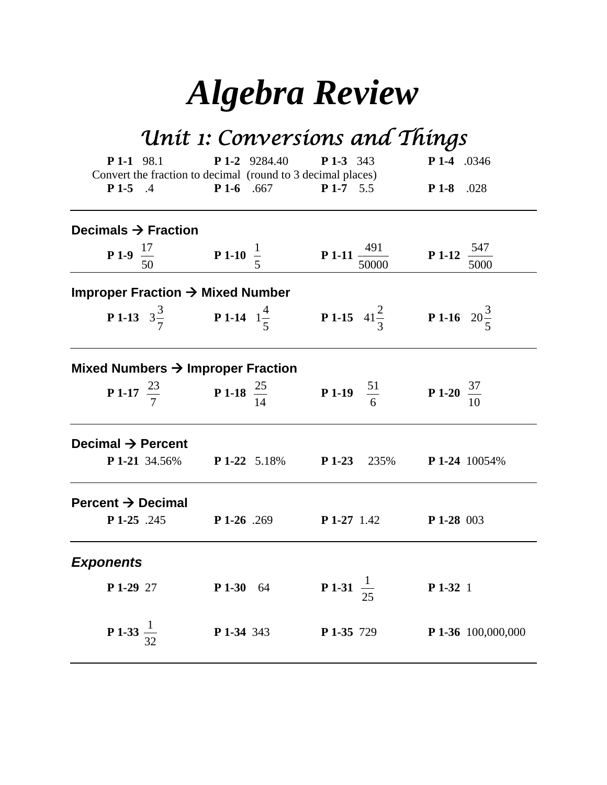# *Algebra Review*

# *Unit 1: Conversions and Things*

| $P1-1$ 98.1                                   | Convert the fraction to decimal (round to 3 decimal places)                                                           |             | <b>P 1-2</b> 9284.40 <b>P 1-3</b> 343         |            |                                                         | P 1-4 .0346                      |                    |
|-----------------------------------------------|-----------------------------------------------------------------------------------------------------------------------|-------------|-----------------------------------------------|------------|---------------------------------------------------------|----------------------------------|--------------------|
| $P1-5$ .4                                     |                                                                                                                       | $P1-6$ .667 |                                               | $P1-7$ 5.5 |                                                         | $P1-8$ .028                      |                    |
| Decimals $\rightarrow$ Fraction               |                                                                                                                       |             |                                               |            |                                                         |                                  |                    |
|                                               | <b>P 1-9</b> $\frac{17}{50}$ <b>P 1-10</b> $\frac{1}{5}$ <b>P 1-11</b> $\frac{491}{50000}$                            |             |                                               |            |                                                         | <b>P 1-12</b> $\frac{547}{5000}$ |                    |
| Improper Fraction $\rightarrow$ Mixed Number  |                                                                                                                       |             |                                               |            |                                                         |                                  |                    |
|                                               | <b>P1-13</b> $3\frac{3}{7}$ <b>P1-14</b> $1\frac{4}{5}$ <b>P1-15</b> $41\frac{2}{3}$ <b>P1-16</b> $20\frac{3}{5}$     |             |                                               |            |                                                         |                                  |                    |
| Mixed Numbers $\rightarrow$ Improper Fraction |                                                                                                                       |             |                                               |            |                                                         |                                  |                    |
|                                               | <b>P 1-17</b> $\frac{23}{7}$ <b>P 1-18</b> $\frac{25}{14}$ <b>P 1-19</b> $\frac{51}{6}$ <b>P 1-20</b> $\frac{37}{10}$ |             |                                               |            |                                                         |                                  |                    |
| Decimal $\rightarrow$ Percent                 |                                                                                                                       |             |                                               |            |                                                         |                                  |                    |
|                                               | <b>P 1-21</b> 34.56% <b>P 1-22</b> 5.18% <b>P 1-23</b> 235% <b>P 1-24</b> 10054%                                      |             |                                               |            |                                                         |                                  |                    |
| Percent $\rightarrow$ Decimal                 |                                                                                                                       |             |                                               |            |                                                         |                                  |                    |
| P 1-25 .245                                   |                                                                                                                       |             |                                               |            | <b>P 1-26</b> .269 <b>P 1-27</b> 1.42 <b>P 1-28</b> 003 |                                  |                    |
| <b>Exponents</b>                              |                                                                                                                       |             |                                               |            |                                                         |                                  |                    |
| P 1-29 27                                     |                                                                                                                       |             | <b>P 1-30</b> 64 <b>P 1-31</b> $\frac{1}{25}$ |            |                                                         | P 1-32 1                         |                    |
| <b>P</b> 1-33 $\frac{1}{32}$                  |                                                                                                                       |             | <b>P 1-34</b> 343 <b>P 1-35</b> 729           |            |                                                         |                                  | P 1-36 100,000,000 |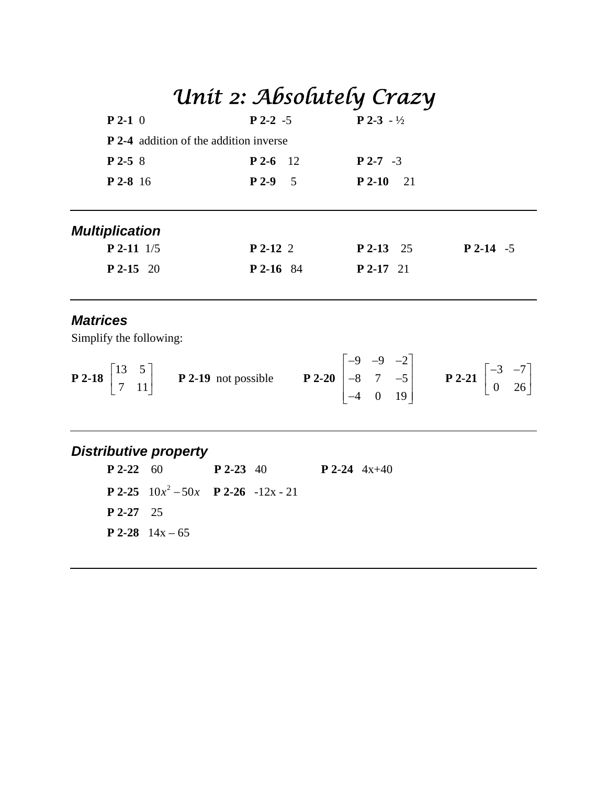|                                                                                                                                                                                                                                               | Unit 2: Absolutely Crazy               |                                   |             |
|-----------------------------------------------------------------------------------------------------------------------------------------------------------------------------------------------------------------------------------------------|----------------------------------------|-----------------------------------|-------------|
| $P 2-1 0$                                                                                                                                                                                                                                     | $P$ 2-2 -5 $P$ 2-3 - $\frac{1}{2}$     |                                   |             |
| <b>P</b> 2-4 addition of the addition inverse                                                                                                                                                                                                 |                                        |                                   |             |
| $P$ 2-5 8                                                                                                                                                                                                                                     | $P$ 2-6 12                             | $P$ 2-7 -3                        |             |
| $P$ 2-8 16                                                                                                                                                                                                                                    |                                        | <b>P 2-9</b> 5 <b>P 2-10</b> 21   |             |
| <i><b>Multiplication</b></i>                                                                                                                                                                                                                  |                                        |                                   |             |
| $P$ 2-11 $1/5$                                                                                                                                                                                                                                |                                        | $P$ 2-12 2 $P$ 2-13 25            | $P$ 2-14 -5 |
| $P$ 2-15 20                                                                                                                                                                                                                                   |                                        | <b>P 2-16</b> 84 <b>P 2-17</b> 21 |             |
| <b>Matrices</b><br>Simplify the following:                                                                                                                                                                                                    |                                        |                                   |             |
| <b>P2-18</b> $\begin{bmatrix} 13 & 5 \\ 7 & 11 \end{bmatrix}$ <b>P2-19</b> not possible <b>P2-20</b> $\begin{bmatrix} -9 & -9 & -2 \\ -8 & 7 & -5 \\ 4 & 0 & 10 \end{bmatrix}$ <b>P2-21</b> $\begin{bmatrix} -3 & -7 \\ 0 & 26 \end{bmatrix}$ |                                        |                                   |             |
| <b>Distributive property</b>                                                                                                                                                                                                                  |                                        |                                   |             |
| $P$ 2-22 60                                                                                                                                                                                                                                   | <b>P</b> 2-23 40 <b>P</b> 2-24 $4x+40$ |                                   |             |
| <b>P</b> 2-25 $10x^2 - 50x$ <b>P</b> 2-26 $-12x - 21$                                                                                                                                                                                         |                                        |                                   |             |

**P 2-27** 25

**P 2-28**  $14x - 65$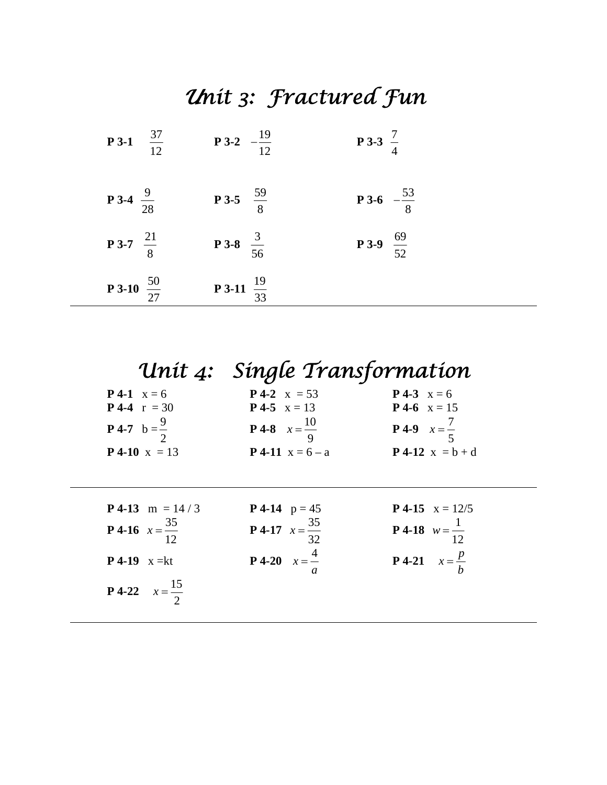# *Unit 3: Fractured Fun*

| $\frac{37}{12}$<br>$P$ 3-1    | <b>P3-2</b> $-\frac{19}{12}$  | <b>P</b> 3-3 $\frac{7}{4}$   |
|-------------------------------|-------------------------------|------------------------------|
| <b>P</b> 3-4 $\frac{9}{28}$   | <b>P3-5</b> $\frac{59}{8}$    | <b>P</b> 3-6 $-\frac{53}{8}$ |
| <b>P</b> 3-7 $\frac{21}{8}$   | <b>P</b> 3-8 $\frac{3}{56}$   | <b>P</b> 3-9 $\frac{69}{52}$ |
| <b>P 3-10</b> $\frac{50}{27}$ | <b>P</b> 3-11 $\frac{19}{33}$ |                              |

|                                   | Unit 4: Single Transformation     |                                  |
|-----------------------------------|-----------------------------------|----------------------------------|
| <b>P</b> 4-1 $x = 6$              | <b>P</b> 4-2 $x = 53$             | <b>P</b> 4-3 $x = 6$             |
| <b>P</b> 4-4 $r = 30$             | <b>P</b> 4-5 $x = 13$             | <b>P</b> 4-6 $x = 15$            |
| <b>P</b> 4-7 $b = \frac{9}{2}$    | <b>P</b> 4-8 $x = \frac{10}{9}$   | <b>P</b> 4-9 $x = \frac{7}{5}$   |
| <b>P</b> 4-10 $x = 13$            | <b>P</b> 4-11 $x = 6 - a$         | $P 4-12 x = b + d$               |
|                                   |                                   |                                  |
| <b>P</b> 4-13 m = $14/3$          | <b>P</b> 4-14 $p = 45$            | <b>P</b> 4-15 $x = 12/5$         |
| <b>P</b> 4-16 $x = \frac{35}{12}$ | <b>P 4-17</b> $x = \frac{35}{32}$ | <b>P</b> 4-18 $w = \frac{1}{12}$ |
| <b>P</b> 4-19 $x = kt$            | <b>P</b> 4-20 $x = \frac{4}{x}$   | <b>P</b> 4-21 $x = \frac{p}{h}$  |
| <b>P</b> 4-22 $x = \frac{15}{2}$  |                                   |                                  |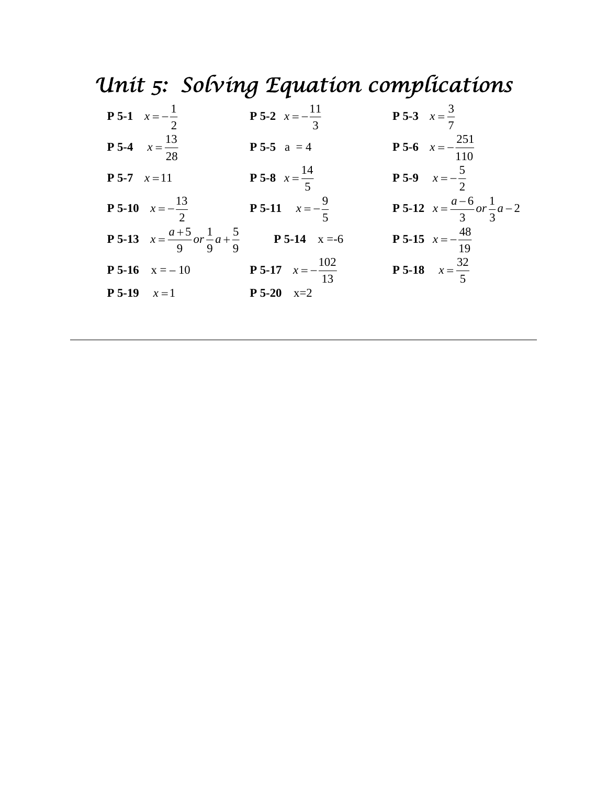# *Unit 5: Solving Equation complications*

| <b>P</b> 5-1 $x = -\frac{1}{2}$                                                          | <b>P</b> 5-2 $x = -\frac{11}{3}$    | <b>P</b> 5-3 $x = \frac{3}{7}$                           |
|------------------------------------------------------------------------------------------|-------------------------------------|----------------------------------------------------------|
| <b>P 5-4</b> $x = \frac{13}{28}$                                                         | <b>P 5-5</b> $a = 4$                | <b>P 5-6</b> $x = -\frac{251}{110}$                      |
| <b>P</b> 5-7 $x=11$                                                                      | <b>P 5-8</b> $x = \frac{14}{5}$     | <b>P</b> 5-9 $x=-\frac{5}{2}$                            |
| <b>P 5-10</b> $x = -\frac{13}{2}$ <b>P 5-11</b> $x = -\frac{9}{5}$                       |                                     | <b>P</b> 5-12 $x = \frac{a-6}{3}$ or $\frac{1}{3}$ $a-2$ |
| <b>P 5-13</b> $x = \frac{a+5}{9}$ or $\frac{1}{9}a + \frac{5}{9}$ <b>P 5-14</b> $x = -6$ |                                     | <b>P</b> 5-15 $x = -\frac{48}{19}$                       |
| <b>P 5-16</b> $x = -10$                                                                  | <b>P 5-17</b> $x = -\frac{102}{13}$ | <b>P</b> 5-18 $x = \frac{32}{5}$                         |
| <b>P</b> 5-19 $x=1$                                                                      | $P 5-20 x=2$                        |                                                          |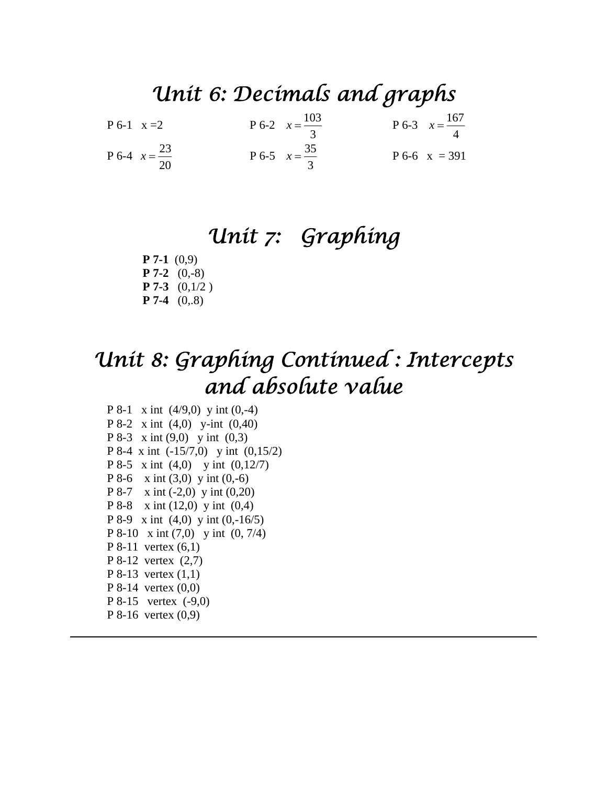### *Unit 6: Decimals and graphs*

| $P_{6-1}$ x = 2                  | P 6-2 $x = \frac{103}{3}$ | P 6-3 $x = \frac{167}{4}$ |
|----------------------------------|---------------------------|---------------------------|
| <b>P</b> 6-4 $x = \frac{23}{20}$ | P 6-5 $x = \frac{35}{3}$  | $P_{6-6}$ x = 391         |

#### *Unit 7: Graphing*

**P 7-1** (0,9) **P 7-2** (0,-8) **P 7-3** (0,1/2 ) **P 7-4** (0,.8)

### *Unit 8: Graphing Continued : Intercepts and absolute value*

 P 8-1 x int (4/9,0) y int (0,-4) P 8-2 x int (4,0) y-int (0,40) P 8-3 x int (9,0) y int (0,3) P 8-4 x int (-15/7,0) y int (0,15/2) P 8-5 x int (4,0) y int (0,12/7) P 8-6  $x \text{ int } (3,0)$  y int  $(0,-6)$ P 8-7 x int (-2,0) y int (0,20) P 8-8 x int (12,0) y int (0,4) P 8-9 x int (4,0) y int (0,-16/5) P 8-10 x int (7,0) y int (0, 7/4) P 8-11 vertex (6,1) P 8-12 vertex (2,7) P 8-13 vertex (1,1) P 8-14 vertex (0,0) P 8-15 vertex (-9,0) P 8-16 vertex (0,9)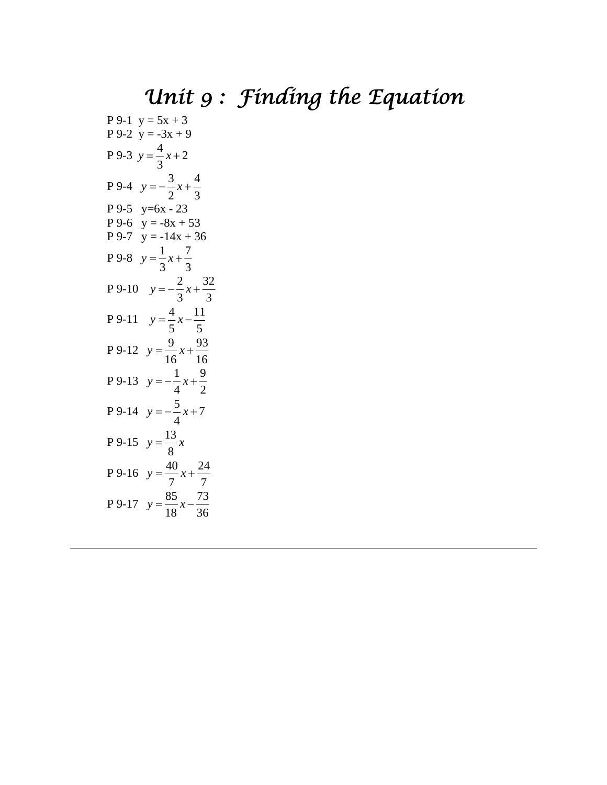# *Unit 9 : Finding the Equation*

P 9-1 y = 5x + 3  
\nP 9-2 y = -3x + 9  
\nP 9-3 y = 
$$
\frac{4}{3}x+2
$$
  
\nP 9-4 y =  $\frac{3}{2}x+\frac{4}{3}$   
\nP 9-5 y=6x - 23  
\nP 9-6 y = -8x + 53  
\nP 9-7 y = -14x + 36  
\nP 9-8 y =  $\frac{1}{3}x+\frac{7}{3}$   
\nP 9-10 y =  $-\frac{2}{3}x+\frac{32}{3}$   
\nP 9-11 y =  $\frac{4}{5}x-\frac{11}{5}$   
\nP 9-12 y =  $\frac{9}{16}x+\frac{93}{16}$   
\nP 9-13 y =  $-\frac{1}{4}x+\frac{9}{2}$   
\nP 9-14 y =  $-\frac{5}{4}x+7$   
\nP 9-15 y =  $\frac{13}{8}x$   
\nP 9-16 y =  $\frac{40}{7}x+\frac{24}{7}$   
\nP 9-17 y =  $\frac{85}{18}x-\frac{73}{36}$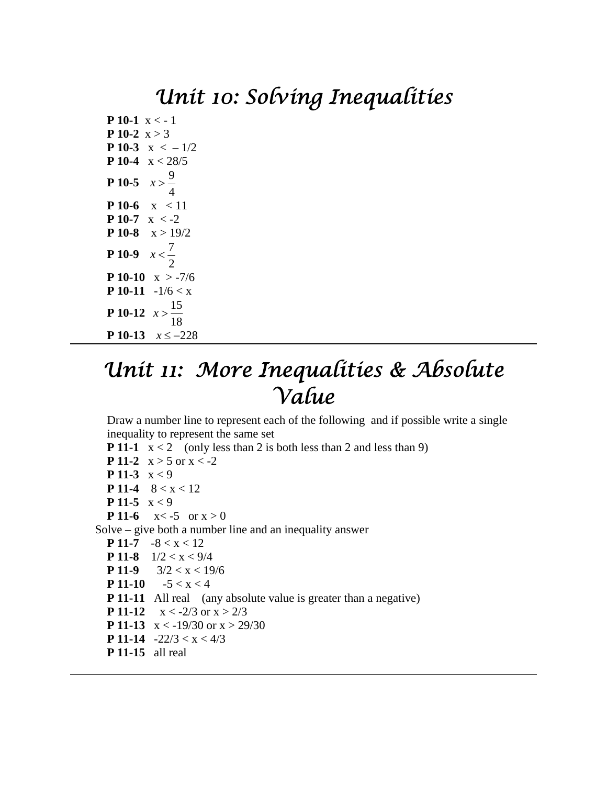#### *Unit 10: Solving Inequalities*

**P 10-1**  $x < -1$ **P** 10-2  $x > 3$ **P 10-3**  $x < -1/2$ **P 10-4** x < 28/5 **P** 10-5  $x > \frac{9}{4}$ 4 *x* **P 10-6**  $x < 11$ **P 10-7**  $x < -2$ **P 10-8**  $x > 19/2$ **P** 10-9  $x < \frac{7}{2}$ 2 *x* **P 10-10**  $x > -7/6$ **P 10-11**  $-1/6 < x$ **P** 10-12  $x > \frac{15}{10}$ 18 *x* **P 10-13**  $x \le -228$ 

### *Unit 11: More Inequalities & Absolute Value*

Draw a number line to represent each of the following and if possible write a single inequality to represent the same set

**P 11-1**  $x < 2$  (only less than 2 is both less than 2 and less than 9) **P 11-2**  $x > 5$  or  $x < -2$ **P 11-3** x < 9 **P 11-4**  $8 < x < 12$ **P 11-5** x < 9 **P 11-6**  $x < -5$  or  $x > 0$  Solve – give both a number line and an inequality answer **P 11-7** -8 < x < 12 **P 11-8**  $1/2 < x < 9/4$ **P 11-9**  $3/2 < x < 19/6$ **P 11-10**  $-5 < x < 4$ **P 11-11** All real (any absolute value is greater than a negative) **P 11-12**  $x < -2/3$  or  $x > 2/3$ **P 11-13**  $x < -19/30$  or  $x > 29/30$ **P 11-14**  $-22/3 < x < 4/3$ **P 11-15** all real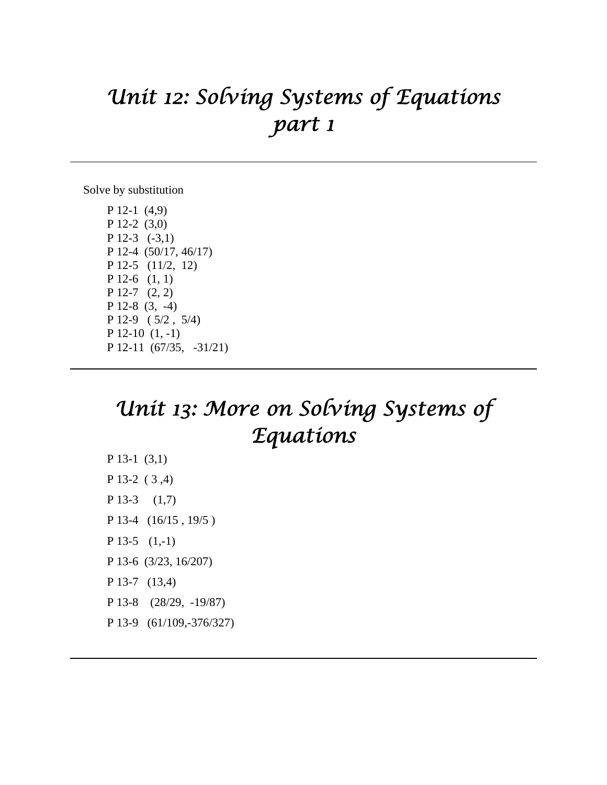## *Unit 12: Solving Systems of Equations part 1*

Solve by substitution

P 12-1 (4,9) P 12-2 (3,0) P 12-3 (-3,1) P 12-4 (50/17, 46/17) P 12-5 (11/2, 12) P 12-6 (1, 1) P 12-7 (2, 2) P 12-8 (3, -4) P 12-9 ( 5/2 , 5/4) P 12-10 (1, -1) P 12-11 (67/35, -31/21)

### *Unit 13: More on Solving Systems of Equations*

P 13-1 (3,1) P 13-2 ( 3 ,4) P 13-3 (1,7) P 13-4 (16/15, 19/5) P 13-5 (1,-1) P 13-6 (3/23, 16/207) P 13-7 (13,4) P 13-8 (28/29, -19/87) P 13-9 (61/109,-376/327)